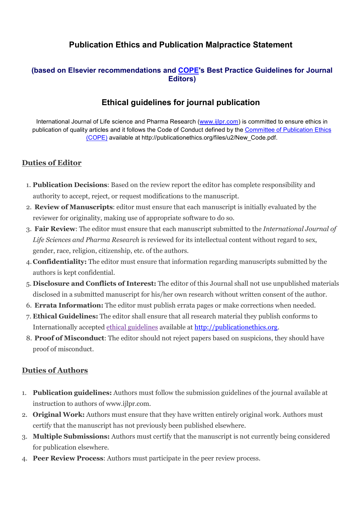# **Publication Ethics and Publication Malpractice Statement**

### **(based on Elsevier recommendations and COPE's Best Practice Guidelines for Journal Editors)**

# **Ethical guidelines for journal publication**

International Journal of Life science and Pharma Research (www.ijlpr.com) is committed to ensure ethics in publication of quality articles and it follows the Code of Conduct defined by the Committee of Publication Ethics (COPE) available at http://publicationethics.org/files/u2/New\_Code.pdf.

### **Duties of Editor**

- 1. **Publication Decisions**: Based on the review report the editor has complete responsibility and authority to accept, reject, or request modifications to the manuscript.
- 2. **Review of Manuscripts**: editor must ensure that each manuscript is initially evaluated by the reviewer for originality, making use of appropriate software to do so.
- 3. **Fair Review**: The editor must ensure that each manuscript submitted to the *International Journal of Life Sciences and Pharma Research* is reviewed for its intellectual content without regard to sex, gender, race, religion, citizenship, etc. of the authors.
- 4. **Confidentiality:** The editor must ensure that information regarding manuscripts submitted by the authors is kept confidential.
- 5. **Disclosure and Conflicts of Interest:** The editor of this Journal shall not use unpublished materials disclosed in a submitted manuscript for his/her own research without written consent of the author.
- 6. **Errata Information:** The editor must publish errata pages or make corrections when needed.
- 7. **Ethical Guidelines:** The editor shall ensure that all research material they publish conforms to Internationally accepted ethical guidelines available at http://publicationethics.org.
- 8. **Proof of Misconduct**: The editor should not reject papers based on suspicions, they should have proof of misconduct.

### **Duties of Authors**

- 1. **Publication guidelines:** Authors must follow the submission guidelines of the journal available at instruction to authors of www.ijlpr.com.
- 2. **Original Work:** Authors must ensure that they have written entirely original work. Authors must certify that the manuscript has not previously been published elsewhere.
- 3. **Multiple Submissions:** Authors must certify that the manuscript is not currently being considered for publication elsewhere.
- 4. **Peer Review Process**: Authors must participate in the peer review process.